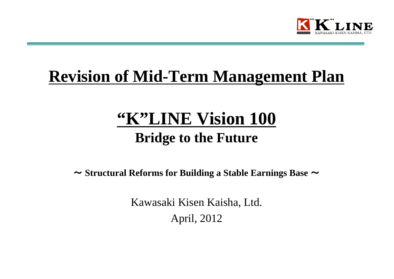

# **Revision of Mid-Term Management Plan**

# **"K"LINE Vision 100 Bridge to the Future**

~ **Structural Reforms for Building a Stable Earnings Base**  ~

Kawasaki Kisen Kaisha, Ltd. April, 2012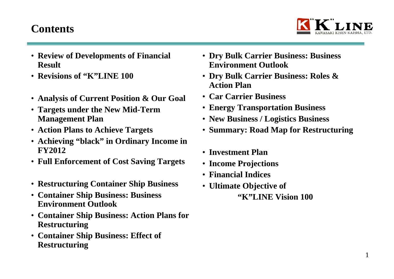## **Contents**



- **Review of Developments of Financial Result**
- **Revisions of "K"LINE 100**
- **Analysis of Current Position & Our Goal**
- **Targets under the New Mid-Term Management Plan**
- **Action Plans to Achieve Targets**
- **Achieving "black" in Ordinary Income in FY2012**
- **Full Enforcement of Cost Saving Targets**
- **Restructuring Container Ship Business**
- **Container Ship Business: Business Environment Outlook**
- **Container Ship Business: Action Plans for Restructuring**
- **Container Ship Business: Effect of Restructuring**
- **Dry Bulk Carrier Business: Business Environment Outlook**
- **Dry Bulk Carrier Business: Roles & Action Plan**
- **Car Carrier Business**
- **Energy Transportation Business**
- **New Business / Logistics Business**
- **Summary: Road Map for Restructuring**
- **Investment Plan**
- **Income Projections**
- **Financial Indices**
- **Ultimate Objective of "K"LINE Vision 100**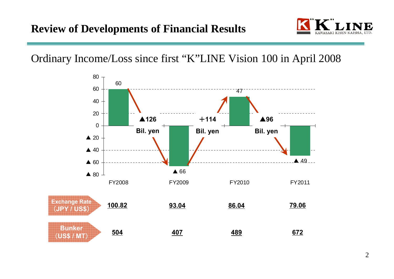

Ordinary Income/Loss since first "K"LINE Vision 100 in April 2008

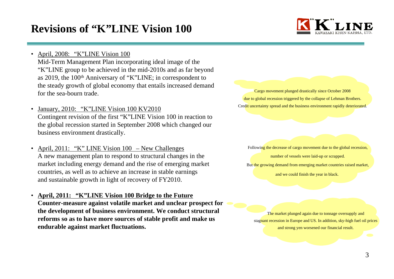## **Revisions of "K"LINE Vision 100**



•April, 2008: "K"LINE Vision 100

Mid-Term Management Plan incorporating ideal image of the "K"LINE group to be achieved in the mid-2010s and as far beyond as 2019, the 100th Anniversary of "K"LINE; in correspondent to the steady growth of global economy that entails increased demand for the sea-bourn trade.

- • January, 2010: "K"LINE Vision 100 KV2010 Contingent revision of the first "K"LINE Vision 100 in reaction to the global recession started in September 2008 which changed our business environment drastically.
- • April, 2011: "K" LINE Vision 100 – New Challenges A new management plan to respond to structural changes in the market including energy demand and the rise of emerging market countries, as well as to achieve an increase in stable earnings and sustainable growth in light of recovery of FY2010.
- • **April, 2011: "K"LINE Vision 100 Bridge to the Future Counter-measure against volatile market and unclear prospect for the development of business environment. We conduct structural reforms so as to have more sources of stable profit and make us endurable against market fluctuations.**

Cargo movement plunged drastically since October 2008 due to global recession triggered by the collapse of Lehman Brothers. Credit uncertainty spread and the business environment rapidly deteriorated.

Following the decrease of cargo movement due to the global recession, number of vessels were laid-up or scrapped.

But the growing demand from emerging market countries raised market,

and we could finish the year in black.

The market plunged again due to tonnage oversupply and stagnant recession in Europe and US. In addition, sky-high fuel oil prices and strong yen worsened our financial result.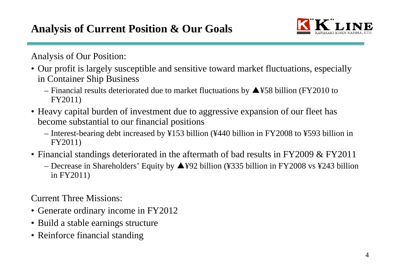

Analysis of Our Position:

- Our profit is largely susceptible and sensitive toward market fluctuations, especially in Container Ship Business
	- Financial results deteriorated due to market fluctuations by ▲¥58 billion (FY2010 to FY2011)
- Heavy capital burden of investment due to aggressive expansion of our fleet has become substantial to our financial positions
	- Interest-bearing debt increased by ¥153 billion (¥440 billion in FY2008 to ¥593 billion in FY2011)
- Financial standings deteriorated in the aftermath of bad results in FY2009 & FY2011
	- Decrease in Shareholders' Equity by ▲¥92 billion (¥335 billion in FY2008 vs ¥243 billion in FY2011)

Current Three Missions:

- Generate ordinary income in FY2012
- Build a stable earnings structure
- Reinforce financial standing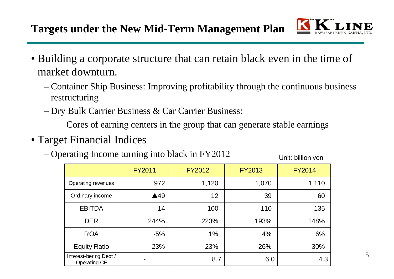

- Building a corporate structure that can retain black even in the time of market downturn.
	- – Container Ship Business: Improving profitability through the continuous business restructuring
	- <del>– 2000 2000 2000 2000 2000</del> Dry Bulk Carrier Business & Car Carrier Business:

Cores of earning centers in the group that can generate stable earnings

- Target Financial Indices
	- –Operating Income turning into black in FY2012 Unit: billion yen

|                                               | <b>FY2011</b>  | <b>FY2012</b> | <b>FY2013</b> | <b>FY2014</b> |
|-----------------------------------------------|----------------|---------------|---------------|---------------|
| Operating revenues                            | 972            | 1,120         | 1,070         | 1,110         |
| Ordinary income                               | $\triangle$ 49 | 12            | 39            | 60            |
| <b>EBITDA</b>                                 | 14             | 100           | 110           | 135           |
| <b>DER</b>                                    | 244%           | 223%          | 193%          | 148%          |
| <b>ROA</b>                                    | $-5%$          | 1%            | 4%            | 6%            |
| <b>Equity Ratio</b>                           | 23%            | 23%           | 26%           | 30%           |
| Interest-bering Debt /<br><b>Operating CF</b> | -              | 8.7           | 6.0           | 4.3           |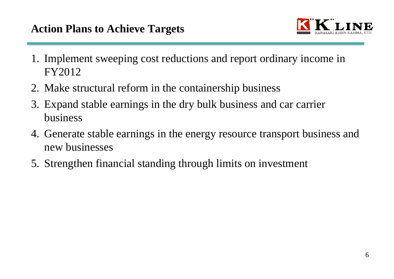

- 1. Implement sweeping cost reductions and report ordinary income in FY2012
- 2. Make structural reform in the containership business
- 3. Expand stable earnings in the dry bulk business and car carrier business
- 4. Generate stable earnings in the energy resource transport business and new businesses
- 5. Strengthen financial standing through limits on investment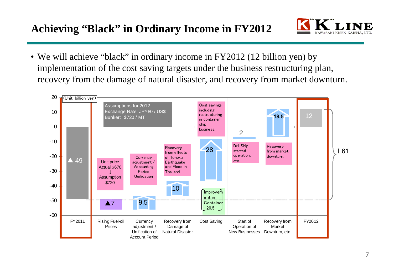## **Achieving "Black" in Ordinary Income in FY2012**



• We will achieve "black" in ordinary income in FY2012 (12 billion yen) by implementation of the cost saving targets under the business restructuring plan, recovery from the damage of natural disaster, and recovery from market downturn.

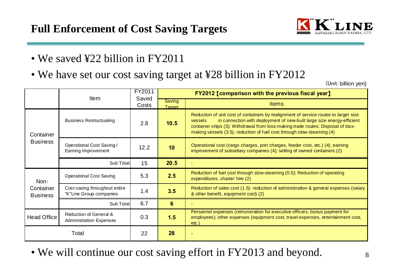

- We saved ¥22 billion in FY2011
- We have set our cost saving target at ¥28 billion in FY2012

(Unit: billion yen)

|                              | <b>Item</b>                                              | FY2011<br>Saved |                         | <b>FY2012 [comparison with the previous fiscal year]</b>                                                                                                                                                                                                                                                                                |  |  |  |
|------------------------------|----------------------------------------------------------|-----------------|-------------------------|-----------------------------------------------------------------------------------------------------------------------------------------------------------------------------------------------------------------------------------------------------------------------------------------------------------------------------------------|--|--|--|
|                              |                                                          | Costs           | <b>Saving</b><br>Target | <b>Items</b>                                                                                                                                                                                                                                                                                                                            |  |  |  |
| Container                    | <b>Business Restructualing</b>                           | 2.8             | 10.5                    | Reduction of unit cost of containers by realignment of service routes to larger size<br>in connection with deployment of new-built large size energy-efficient<br>vessels<br>container ships (3); Withdrawal from loss-making trade routes; Disposal of loss-<br>making vessels (3.5); reduction of fuel cost through slow-steaming (4) |  |  |  |
| <b>Business</b>              | Operational Cost Saving /<br>12.2<br>Earning Improvement |                 | 10                      | Operational cost (cargo charges, port charges, feeder cost, etc.) (4); earning<br>improvement of subsidiary companies (4); selling of owned containers (2)                                                                                                                                                                              |  |  |  |
|                              | Sub Total                                                | 15              | 20.5                    |                                                                                                                                                                                                                                                                                                                                         |  |  |  |
| Non-                         | <b>Operational Cost Saving</b>                           | 5.3             | 2.5                     | Reduction of fuel cost through slow-steaming (0.5); Reduction of operating<br>expenditures, charter hire (2)                                                                                                                                                                                                                            |  |  |  |
| Container<br><b>Business</b> | Cost saving throughout entire<br>"K"Line Group companies | 1.4             | 3.5                     | Reduction of sales cost (1.5); reduction of administration & general expenses (salary<br>& other benefit, equipment cost) (2)                                                                                                                                                                                                           |  |  |  |
|                              | Sub Total                                                | 6.7             | 6                       |                                                                                                                                                                                                                                                                                                                                         |  |  |  |
| <b>Head Office</b>           | Reduction of General &<br><b>Administration Expenses</b> | 0.3             | 1.5                     | Personnel expenses (remuneration for executive officers, bonus payment for<br>employees); other expenses (equipment cost, travel expenses, entertainment cost,<br>etc.)                                                                                                                                                                 |  |  |  |
| Total                        |                                                          | 22              | 28                      |                                                                                                                                                                                                                                                                                                                                         |  |  |  |

• We will continue our cost saving effort in FY2013 and beyond.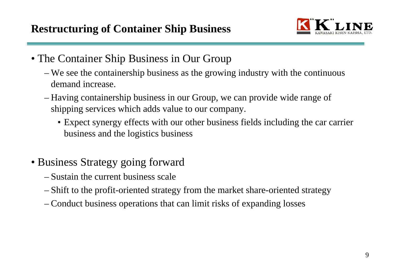

- The Container Ship Business in Our Group
	- – We see the containership business as the growing industry with the continuous demand increase.
	- – Having containership business in our Group, we can provide wide range of shipping services which adds value to our company.
		- Expect synergy effects with our other business fields including the car carrier business and the logistics business
- Business Strategy going forward
	- Sustain the current business scale
	- <u>– Listo Listo Listo Listo Listo Listo Listo Listo Listo Listo Listo Listo Listo Listo Listo Listo Listo Listo </u> Shift to the profit-oriented strategy from the market share-oriented strategy
	- <u>– Listo Listo Listo Listo Listo Listo Listo Listo Listo Listo Listo Listo Listo Listo Listo Listo Listo Listo </u> Conduct business operations that can limit risks of expanding losses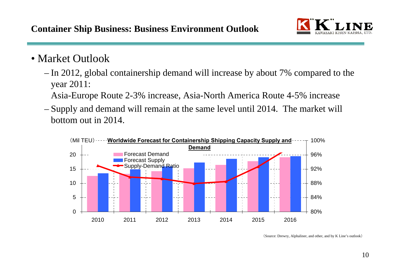

## • Market Outlook

- – In 2012, global containership demand will increase by about 7% compared to the year 2011:
	- Asia-Europe Route 2-3% increase, Asia-North America Route 4-5% increase
- – Supply and demand will remain at the same level until 2014. The market will bottom out in 2014.



(Source: Drewry, Alphaliner, and other, and by K Line's outlook)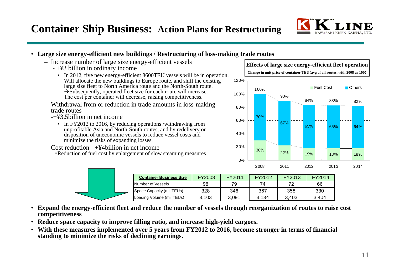

#### • **Large size energy-efficient new buildings / Restructuring of loss-making trade routes**

- Increase number of large size energy-efficient vessels
	- +¥3 billion in ordinary income
		- In 2012, five new energy-efficient 8600TEU vessels will be in operation. Will allocate the new buildings to Europe route, and shift the existing large size fleet to North America route and the North-South route.  $\rightarrow$  Subsequently, operated fleet size for each route will increase. The cost per container will decrease, raising competitiveness.
- Withdrawal from or reduction in trade amounts in loss-making trade routes
	- -+¥3.5billion in net income
		- In FY2012 to 2016, by reducing operations /withdrawing from unprofitable Asia and North-South routes, and by redelivery or disposition of uneconomic vessels to reduce vessel costs and minimize the risks of expanding losses.
- Cost reduction +¥4billion in net income ・Reduction of fuel cost by enlargement of slow steaming measures



|  | <b>Container Business Size</b> | <b>FY2008</b> | FY2011 | FY2012 | FY2013 | FY2014 |
|--|--------------------------------|---------------|--------|--------|--------|--------|
|  | Number of Vessels              | 98            | 79     | 74     |        | 66     |
|  | Space Capacity (mil TEUs)      | 328           | 346    | 367    | 358    | 330    |
|  | Loading Volume (mil TEUs)      | 3.103         | 3.091  | 3.134  | 3.403  | 3.404  |

- **Expand the energy-efficient fleet and reduce the number of vessels through reorganization of routes to raise cost competitiveness**
- **Reduce space capacity to improve filling ratio, and increase high-yield cargoes.**
- **With these measures implemented over 5 years from FY2012 to 2016, become stronger in terms of financial standing to minimize the risks of declining earnings.**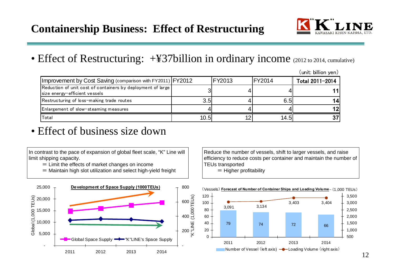

## • Effect of Restructuring: +¥37billion in ordinary income (2012 to 2014, cumulative)

|                                                                                              |      |        |        | (unit: billion yen <i>)</i> |
|----------------------------------------------------------------------------------------------|------|--------|--------|-----------------------------|
| Improvement by Cost Saving (comparison with FY2011) FY2012                                   |      | FY2013 | FY2014 | Total 2011-2014             |
| Reduction of unit cost of containers by deployment of large<br>size energy-efficient vessels |      |        |        |                             |
| Restructuring of loss-making trade routes                                                    | 3.5I |        | 6.5    |                             |
| Enlargement of slow-steaming measures                                                        |      |        |        |                             |
| Total                                                                                        | 10.5 |        | 14.5II |                             |

## • Effect of business size down

In contrast to the pace of expansion of global fleet scale, "K" Line will limit shipping capacity.

 $=$  Limit the effects of market changes on income

= Maintain high slot utilization and select high-yield freight



Reduce the number of vessels, shift to larger vessels, and raise efficiency to reduce costs per container and maintain the number of TEUs transported = Higher profitability

(Vessels) Forecast of Number of Container Ships and Loading Volume – (1,000 TEUs) 79 74 72<sup>2</sup> 66 3,091 3,134 3,403 3,404  $\Omega$ 20 4060 80 100 120 2011 2012 2013 20142014 5001,000 1,500 2,000 2,500 3,000 3,500 Number of Vessel (left axis)  $\rightarrow$  Loading Volume (right axis)

(unit: billion yen)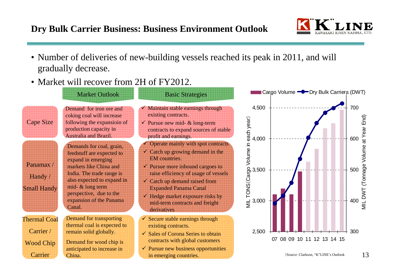### **Dry Bulk Carrier Business: Business Environment Outlook**



- Number of deliveries of new-building vessels reached its peak in 2011, and will gradually decrease.
- Market will recover from 2H of FY2012.



MIL DWT (Tonnage Volume at Year End)

VILL DVVT (Tonnage Volume at Year End)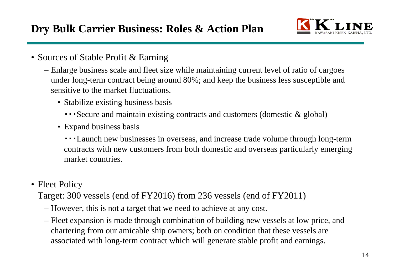

- Sources of Stable Profit & Earning
	- Enlarge business scale and fleet size while maintaining current level of ratio of cargoes under long-term contract being around 80%; and keep the business less susceptible and sensitive to the market fluctuations.
		- Stabilize existing business basis
			- ・・・Secure and maintain existing contracts and customers (domestic & global)
		- Expand business basis
			- ・・・Launch new businesses in overseas, and increase trade volume through long-term contracts with new customers from both domestic and overseas particularly emerging market countries.
- Fleet Policy

Target: 300 vessels (end of FY2016) from 236 vessels (end of FY2011)

- However, this is not a target that we need to achieve at any cost.
- Fleet expansion is made through combination of building new vessels at low price, and chartering from our amicable ship owners; both on condition that these vessels are associated with long-term contract which will generate stable profit and earnings.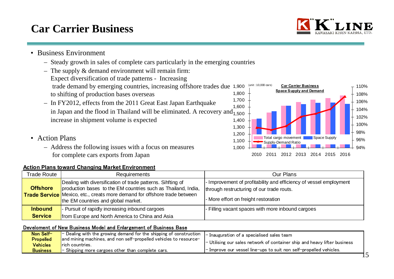# **Car Carrier Business**

- Business Environment
	- Steady growth in sales of complete cars particularly in the emerging countries
	- The supply & demand environment will remain firm: Expect diversification of trade patterns - Increasing trade demand by emerging countries, increasing offshore trades due 1,900 to shifting of production bases overseas
	- In FY2012, effects from the 2011 Great East Japan Earthquake in Japan and the flood in Thailand will be eliminated. A recovery and<sub>1,500</sub> increase in shipment volume is expected
- Action Plans
	- Address the following issues with a focus on measures for complete cars exports from Japan

#### **Action Plans toward Changing Market Environment**

| Trade Route                      | <b>Requirements</b>                                                                                                                                                                                                                                     | Our Plans                                                                                                                                               |
|----------------------------------|---------------------------------------------------------------------------------------------------------------------------------------------------------------------------------------------------------------------------------------------------------|---------------------------------------------------------------------------------------------------------------------------------------------------------|
| <b>Offshore</b>                  | Dealing with diversification of trade patterns. Sihfting of<br>production bases to the EM countries such as Thailand, India,<br><b>Trade Service</b> Mexico, etc., creats more demand for offshore trade between<br>the EM countries and global market. | - Improvement of profitability and efficiency of vessel employment<br>through restructuring of our trade routs.<br>- More effort on freight restoration |
| <b>Inbound</b><br><b>Service</b> | - Pursuit of rapidly increasing inbound cargoes<br>from Europe and North America to China and Asia                                                                                                                                                      | - Filling vacant spaces with more inbound cargoes                                                                                                       |

#### Develoment of New Business Model and Enlargement of Business Base

| <b>Propelled</b><br>and mining machines, and non self-propelled vehicles to resource-<br>- Utilising our sales network of container ship and heavy lifter business<br><b>Vehicles</b><br><b>Trich countries.</b><br>$\blacksquare$ Improve our vessel line-ups to suit non self-propelled vehicles. | Non Self-       | $\blacksquare$ Dealing with the growing demand for the shipping of construction $\blacksquare$ Inauguration of a specialised sales team |  |
|-----------------------------------------------------------------------------------------------------------------------------------------------------------------------------------------------------------------------------------------------------------------------------------------------------|-----------------|-----------------------------------------------------------------------------------------------------------------------------------------|--|
|                                                                                                                                                                                                                                                                                                     |                 |                                                                                                                                         |  |
|                                                                                                                                                                                                                                                                                                     |                 |                                                                                                                                         |  |
|                                                                                                                                                                                                                                                                                                     | <b>Business</b> | $\vert$ - Shipping more cargoes other than complete cars.                                                                               |  |



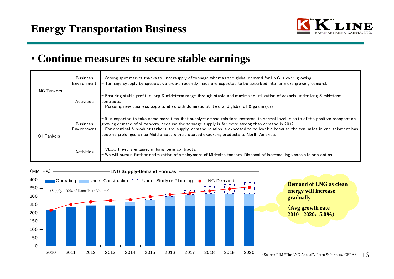

16

## • **Continue measures to secure stable earnings**

| <b>LNG Tankers</b> | <b>Business</b><br>Environment | - Strong spot market thanks to undersupply of tonnage whereas the global demand for LNG is ever-growing.<br>- Tonnage syupply by speculative orders recently made are expected to be absorbed into far more growing demand.                                                                                                                                                                                                                                               |
|--------------------|--------------------------------|---------------------------------------------------------------------------------------------------------------------------------------------------------------------------------------------------------------------------------------------------------------------------------------------------------------------------------------------------------------------------------------------------------------------------------------------------------------------------|
|                    | Activities                     | - Ensuring stable profit in long & mid-term range through stable and maximised utilization of vessels under long & mid-term<br>contracts.<br>- Pursuing new business opportunities with domestic utilities, and global oil & gas majors.                                                                                                                                                                                                                                  |
| Oil Tankers        | <b>Business</b><br>Environment | - It is expected to take some more time that supply-demand relations restores its normal level in spite of the positive prospect on<br>growing demand of oil tankers, because the tonnage supply is far more strong than demand in 2012.<br>$-$ For chemical & product tankers, the supply-demand relation is expected to be leveled because the ton-miles in one shipment has<br>become prolonged since Middle East & India started exporting products to North America. |
|                    | Activities                     | - VLCC Fleet is engaged in long-term contracts.<br>- We will pursue further optimization of employment of Mid-size tankers. Disposal of loss-making vessels is one option.                                                                                                                                                                                                                                                                                                |

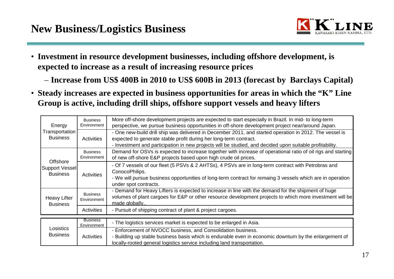

- **Investment in resource development businesses, including offshore development, is expected to increase as a result of increasing resource prices**
	- **Increase from US\$ 400B in 2010 to US\$ 600B in 2013 (forecast by Barclays Capital)**
- **Steady increases are expected in business opportunities for areas in which the "K" Line Group is active, including drill ships, offshore support vessels and heavy lifters**

| Energy                                               | <b>Business</b><br>Environment | More off-shore development projects are expected to start especially in Brazil. In mid- to long-term<br>perspective, we pursue business opportunities in off-shore development project near/around Japan.                                                                                |
|------------------------------------------------------|--------------------------------|------------------------------------------------------------------------------------------------------------------------------------------------------------------------------------------------------------------------------------------------------------------------------------------|
| Transportation<br><b>Business</b>                    | Activities                     | - One new-build drill ship was delivered in December 2011, and started operation in 2012. The vessel is<br>expected to generate stable profit during her long-term contract.<br>- Investment and participation in new projects will be studied, and decided upon suitable profitability. |
|                                                      | <b>Business</b><br>Environment | Demand for OSVs is expected to increase together with increase of operational ratio of oil rigs and starting<br>of new off-shore E&P projects based upon high crude oil prices.                                                                                                          |
| Offshore<br><b>Support Vessel</b><br><b>Business</b> | Activities                     | - Of 7 vessels of our fleet (5 PSVs & 2 AHTSs), 4 PSVs are in long-term contract with Petrobras and<br>ConocoPhilips.<br>- We will pursue business opportunities of long-term contract for remaing 3 vessels which are in operation<br>under spot contracts.                             |
| <b>Heavy Lifter</b><br><b>Business</b>               | <b>Business</b><br>Environment | - Demand for Heavy Lifters is expected to increase in line with the demand for the shipment of huge<br>volumes of plant cargoes for E&P or other resource development projects to which more investment will be<br>made globally                                                         |
|                                                      | Activities                     | - Pursuit of shipping contract of plant & project cargoes.                                                                                                                                                                                                                               |
|                                                      | <b>Business</b><br>Environment | - The logistics services market is expected to be enlarged in Asia.                                                                                                                                                                                                                      |
| Losistics<br><b>Business</b>                         | Activities                     | - Enforcement of NVOCC business, and Consolidation business.<br>- Building up stable business basis which is endurable even in economic downturn by the enlargement of<br>locally-rooted general logistics service including land transportation.                                        |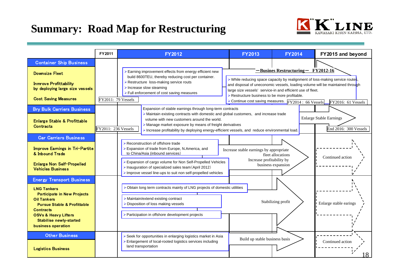## **Summary: Road Map for Restructuring**



|                                                                                                                                                                                                                                         | FY2011              | <b>FY2012</b>                                                                                                                                                                                                                                                                                                 | <b>FY2013</b>                                                                                                                                                                                                                                                                               | <b>FY2014</b>                                                         | FY2015 and beyond      |  |
|-----------------------------------------------------------------------------------------------------------------------------------------------------------------------------------------------------------------------------------------|---------------------|---------------------------------------------------------------------------------------------------------------------------------------------------------------------------------------------------------------------------------------------------------------------------------------------------------------|---------------------------------------------------------------------------------------------------------------------------------------------------------------------------------------------------------------------------------------------------------------------------------------------|-----------------------------------------------------------------------|------------------------|--|
| <b>Container Ship Business</b>                                                                                                                                                                                                          |                     |                                                                                                                                                                                                                                                                                                               |                                                                                                                                                                                                                                                                                             |                                                                       |                        |  |
| <b>Downsize Fleet</b>                                                                                                                                                                                                                   |                     | > Earning improvement effects from energy efficient new                                                                                                                                                                                                                                                       |                                                                                                                                                                                                                                                                                             | $-Busines$ Restructuring – FY2012-16                                  |                        |  |
| <b>Inmrove Profittability</b><br>by deploying large size vessels<br><b>Cost Saving Measures</b>                                                                                                                                         | FY2011: 79 Vessels  | build 8600TEU, thereby reducing cost per container.<br>> Restructure loss-making service routs<br>$\triangleright$ Increase slow steaming<br>$\triangleright$ Full enforcement of cost saving measures                                                                                                        | $\triangleright$ While reducing space capacity by realignment of loss-making service routes<br>and disposal of uneconomic vessels, loading volume will be maintained through<br>large size vessels' service-in and efficient use of fleet.<br>> Restructure business to be more profitable. |                                                                       |                        |  |
|                                                                                                                                                                                                                                         |                     |                                                                                                                                                                                                                                                                                                               |                                                                                                                                                                                                                                                                                             | > Continue cost saving measures. $\boxed{\text{FY2014 : 66 Vessels}}$ | FY2016: 61 Vessels     |  |
| <b>Bry Bulk Carriers Business</b><br>Enlarge Stable & Profittable<br><b>Contracts</b>                                                                                                                                                   | FY2011: 236 Vessels | Expansion of stable earnings through long-term contracts<br>>Maintain existing contracts with domestic and global customers, and increase trade<br>volume with new customers around the world.<br>> Manage market exposure by means of freight derivatives                                                    | <b>Enlarge Stable Earnings</b><br>End 2016: 300 Vessels<br>Increase profitability by deploying energy-efficient vessels, and reduce environmental load.                                                                                                                                     |                                                                       |                        |  |
| <b>Car Carriers Business</b>                                                                                                                                                                                                            |                     |                                                                                                                                                                                                                                                                                                               |                                                                                                                                                                                                                                                                                             |                                                                       |                        |  |
| Improve Eamings in Tri-Partite<br>& Inbound Trade<br>Enlarge Non Self-Propelled<br><b>Vehicles Business</b>                                                                                                                             |                     | Reconstruction of offshore trade<br>Expansion of trade from Europe, N.America, and<br>to China/Asia (inbound services)<br>> Expansion of cargo volume for Non Self-Propelled Vehicles<br>> Inauguration of specialized sales team (April 2012)<br>Improve vessel line-ups to suit non self-propelled vehicles | Increase stable earnings by appropriate<br>fleet allocations<br>Increase profitability by<br>business expansion                                                                                                                                                                             | Continued action                                                      |                        |  |
| <b>Energy Transport Business</b>                                                                                                                                                                                                        |                     |                                                                                                                                                                                                                                                                                                               |                                                                                                                                                                                                                                                                                             |                                                                       |                        |  |
| <b>LNG Tankers</b><br><b>Participate in New Projects</b><br><b>Oil Tankers</b><br><b>Pursue Stable &amp; Profittable</b><br><b>Contracts</b><br><b>OSVs &amp; Heavy Lifters</b><br><b>Stabilise newly-started</b><br>business operation |                     | > Obtain long term contracts mainly of LNG projects of domestic utilities<br>> Maintain/extend existing contract<br>> Disposition of loss making vessels<br>> Participation in offshore development projects                                                                                                  |                                                                                                                                                                                                                                                                                             | Stabilizing profit                                                    | Enlarge stable earings |  |
| <b>Other Business</b><br><b>Logistics Business</b>                                                                                                                                                                                      |                     | > Seek for opportunities in enlarging logistics market in Asia<br>> Enlargement of local-rooted logistics services including<br>land transportation                                                                                                                                                           | Build up stable business basis                                                                                                                                                                                                                                                              |                                                                       | Continued action<br>18 |  |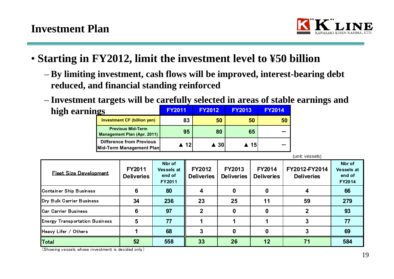

- **Starting in FY2012, limit the investment level to ¥50 billion**
	- **By limiting investment, cash flows will be improved, interest-bearing debt reduced, and financial standing reinforced**
	- **Investment targets will be carefully selected in areas of stable earnings and high earning FY2011 FY2012 FY2013 FY2014**

| ngs                                                         | <b>FY2011</b> | <b>FY2012</b>       | <b>FY2013</b> | <u>FY2014</u> |
|-------------------------------------------------------------|---------------|---------------------|---------------|---------------|
| <b>Investment CF (billion yen)</b>                          | 83            | 50                  | 50            | 50            |
| <b>Previous Mid-Term</b><br>Management Plan (Apr. 2011)     | 95            | 80                  | 65            |               |
| <b>Difference from Previous</b><br>Mid-Term Management Plan | ▲ 12          | $\blacktriangle$ 30 | ▲ 15          |               |

|                                       |                                    |                                                 |                                    |                                    |                                    | (unit: vessels)                    |                                                 |
|---------------------------------------|------------------------------------|-------------------------------------------------|------------------------------------|------------------------------------|------------------------------------|------------------------------------|-------------------------------------------------|
| <b>Fleet Size Development</b>         | <b>FY2011</b><br><b>Deliveries</b> | Nbr of<br><b>Vessels at</b><br>end of<br>FY2011 | <b>FY2012</b><br><b>Deliveries</b> | <b>FY2013</b><br><b>Deliveries</b> | <b>FY2014</b><br><b>Deliveries</b> | FY2012-FY2014<br><b>Deliveries</b> | Nbr of<br><b>Vessels at</b><br>end of<br>FY2014 |
| Container Ship Business               | 6                                  | 80                                              |                                    | 0                                  | 0                                  |                                    | 66                                              |
| Dry Bulk Carrier Business             | 34                                 | 236                                             | 23                                 | 25                                 | 11                                 | 59                                 | 279                                             |
| <b>ICar Carrier Business</b>          | 6                                  | 97                                              | $\mathbf{2}$                       | $\mathbf 0$                        | 0                                  |                                    | 93                                              |
| <b>Energy Transportation Business</b> | 5                                  | 77                                              |                                    |                                    |                                    |                                    | 77                                              |
| Heavy Lifer / Others                  |                                    | 68                                              |                                    | 0                                  | 0                                  |                                    | 69                                              |
| Total                                 | 52                                 | 558                                             | 33                                 | 26                                 | 12                                 | 71                                 | 584                                             |

(Showing vessels whose investment is decided only)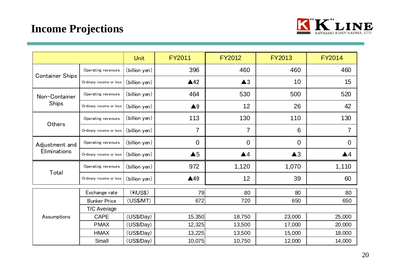## **Income Projections**



|                        |                         | <b>Unit</b>   | <b>FY2011</b>      | <b>FY2012</b>      | <b>FY2013</b>  | <b>FY2014</b>      |
|------------------------|-------------------------|---------------|--------------------|--------------------|----------------|--------------------|
|                        | Operating revenues      | (billion yen) | 396                | 460                | 460            | 460                |
| <b>Container Ships</b> | Ordinary income or loss | (billion yen) | $\triangle 42$     | $\blacktriangle$ 3 | 10             | 15                 |
| Non-Container          | Operating revenues      | (billion yen) | 464                | 530                | 500            | 520                |
| <b>Ships</b>           | Ordinary income or loss | (billion yen) | $\blacktriangle 9$ | 12                 | 26             | 42                 |
|                        | Operating revenues      | (billion yen) | 113                | 130                | 110            | 130                |
| Others                 | Ordinary income or loss | (billion yen) | $\overline{7}$     | $\overline{7}$     | 6              | $\overline{7}$     |
| Adjustment and         | Operating revenues      | (billion yen) | $\overline{0}$     | $\overline{0}$     | $\overline{0}$ | $\overline{0}$     |
| Eliminations           | Ordinary income or loss | (billion yen) | $\triangle 5$      | $\blacktriangle 4$ | $\triangle 3$  | $\blacktriangle$ 4 |
|                        | Operating revenues      | (billion yen) | 972                | 1,120              | 1,070          | 1,110              |
| Total                  | Ordinary income or loss | (billion yen) | $\triangle$ 49     | 12                 | 39             | 60                 |
|                        | Exchange rate           | (Y/US\$)      | 79                 | 80                 | 80             | 80                 |
|                        |                         |               | 672                | 720                | 650            |                    |
|                        | <b>Bunker Price</b>     | (US\$/MT)     |                    |                    |                | 650                |
| Assumptions            | T/C Average             |               |                    |                    |                |                    |
|                        | <b>CAPE</b>             | (US\$/Day)    | 15,350             | 18,750             | 23,000         | 25,000             |
|                        | <b>PMAX</b>             | (US\$/Day)    | 12,325             | 13,500             | 17,000         | 20,000             |
|                        | <b>HMAX</b>             | (US\$/Day)    | 13,225             | 13,500             | 15,000         | 18,000             |
|                        | Small                   | (US\$/Day)    | 10,075             | 10,750             | 12,000         | 14,000             |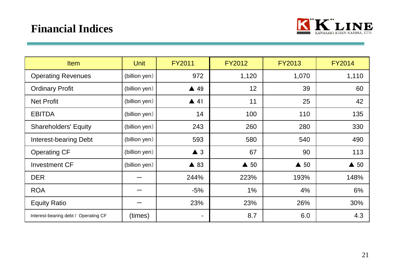## **Financial Indices**



and the state of the state of

| <b>Item</b>                          | <b>Unit</b>   | <b>FY2011</b>  | <b>FY2012</b>  | <b>FY2013</b>  | <b>FY2014</b>  |
|--------------------------------------|---------------|----------------|----------------|----------------|----------------|
| <b>Operating Revenues</b>            | (billion yen) | 972            | 1,120          | 1,070          | 1,110          |
| <b>Ordinary Profit</b>               | (billion yen) | $\triangle$ 49 | 12             | 39             | 60             |
| <b>Net Profit</b>                    | (billion yen) | $\triangle$ 41 | 11             | 25             | 42             |
| <b>EBITDA</b>                        | (billion yen) | 14             | 100            | 110            | 135            |
| <b>Shareholders' Equity</b>          | (billion yen) | 243            | 260            | 280            | 330            |
| <b>Interest-bearing Debt</b>         | (billion yen) | 593            | 580            | 540            | 490            |
| <b>Operating CF</b>                  | (billion yen) | $\triangle$ 3  | 67             | 90             | 113            |
| <b>Investment CF</b>                 | (billion yen) | $\triangle$ 83 | $\triangle$ 50 | $\triangle$ 50 | $\triangle$ 50 |
| <b>DER</b>                           |               | 244%           | 223%           | 193%           | 148%           |
| <b>ROA</b>                           |               | $-5%$          | 1%             | 4%             | 6%             |
| <b>Equity Ratio</b>                  |               | 23%            | 23%            | 26%            | 30%            |
| Interest-bearing debt / Operating CF | (times)       | $\blacksquare$ | 8.7            | 6.0            | 4.3            |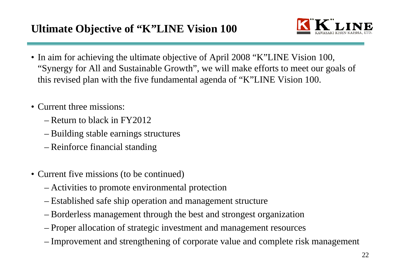

- In aim for achieving the ultimate objective of April 2008 "K"LINE Vision 100, "Synergy for All and Sustainable Growth", we will make efforts to meet our goals of this revised plan with the five fundamental agenda of "K"LINE Vision 100.
- Current three missions:
	- Return to black in FY2012
	- <del>– 2000 2000 2000 2000 2000</del> Building stable earnings structures
	- –Reinforce financial standing
- Current five missions (to be continued)
	- <u>– Listo Listo Listo Listo Listo Listo Listo Listo Listo Listo Listo Listo Listo Listo Listo Listo Listo Listo </u> Activities to promote environmental protection
	- <del>– 2000 2000 2000 2000 2000</del> Established safe ship operation and management structure
	- <u>– Listo Listo Listo Listo Listo Listo Listo Listo Listo Listo Listo Listo Listo Listo Listo Listo Listo Listo </u> Borderless management through the best and strongest organization
	- $\mathcal{L}_{\mathcal{A}}$ Proper allocation of strategic investment and management resources
	- Improvement and strengthening of corporate value and complete risk management